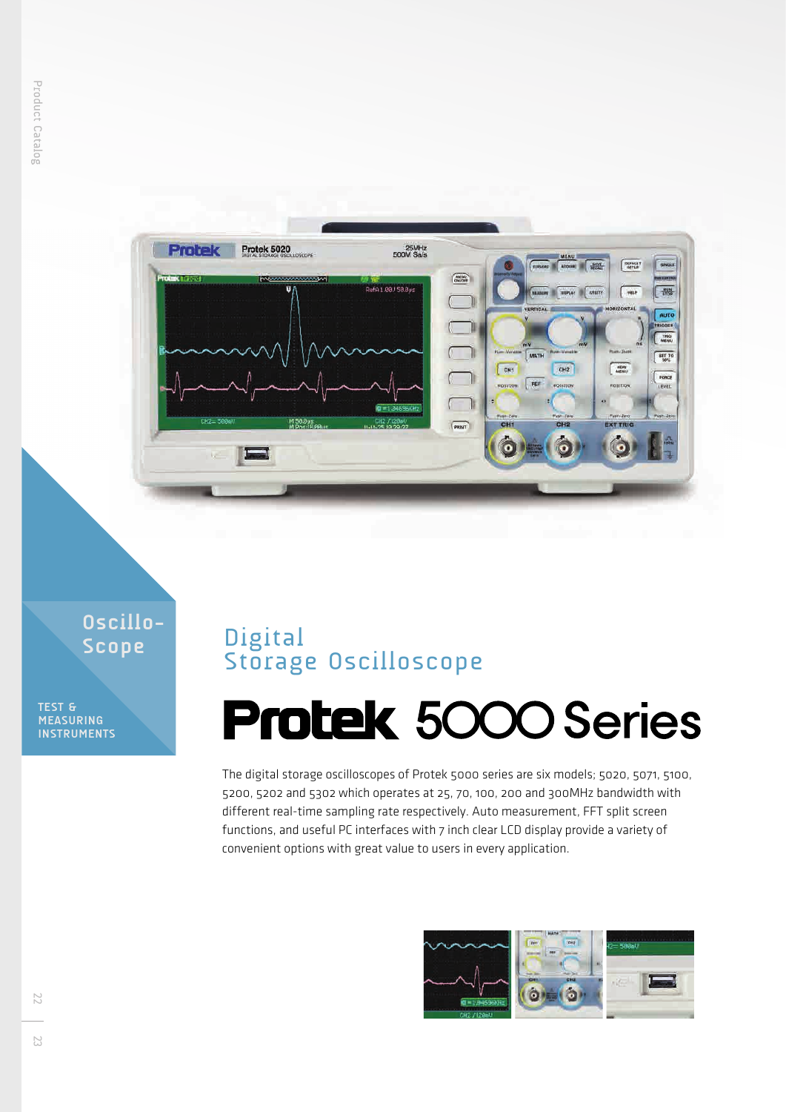

**Oscillo-Scope**

**TEST & MEASURING INSTRUMENTS**

## Digital Storage Oscilloscope

## **Protek 5000 Series**

The digital storage oscilloscopes of Protek 5000 series are six models; 5020, 5071, 5100, 5200, 5202 and 5302 which operates at 25, 70, 100, 200 and 300MHz bandwidth with different real-time sampling rate respectively. Auto measurement, FFT split screen functions, and useful PC interfaces with 7 inch clear LCD display provide a variety of convenient options with great value to users in every application.